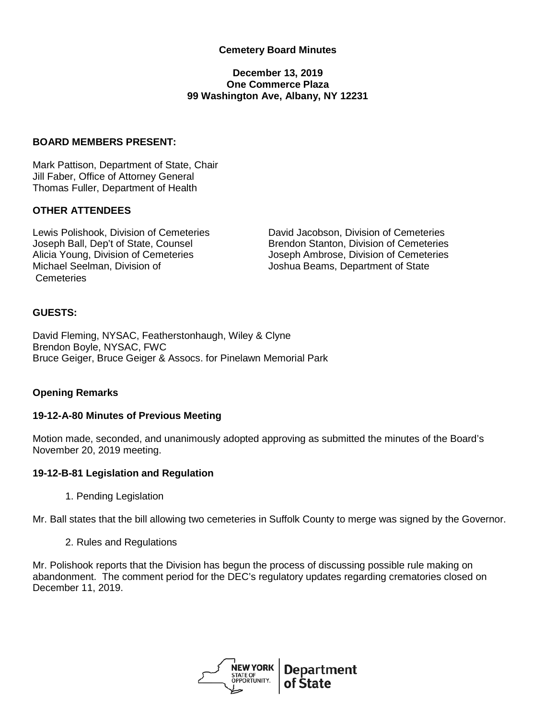## **Cemetery Board Minutes**

### **December 13, 2019 One Commerce Plaza 99 Washington Ave, Albany, NY 12231**

### **BOARD MEMBERS PRESENT:**

Mark Pattison, Department of State, Chair Jill Faber, Office of Attorney General Thomas Fuller, Department of Health

### **OTHER ATTENDEES**

Michael Seelman, Division of **Cemeteries** 

Lewis Polishook, Division of Cemeteries **David Jacobson, Division of Cemeteries**<br>
Joseph Ball, Dep't of State, Counsel **Brendon Stanton, Division of Cemeteries** Joseph Ball, Dep't of State, Counsel **Brendon Stanton, Division of Cemeteries**<br>Alicia Young, Division of Cemeteries **Brendon Stanton, Division of Cemeteries** Joseph Ambrose, Division of Cemeteries Joshua Beams, Department of State

#### **GUESTS:**

David Fleming, NYSAC, Featherstonhaugh, Wiley & Clyne Brendon Boyle, NYSAC, FWC Bruce Geiger, Bruce Geiger & Assocs. for Pinelawn Memorial Park

### **Opening Remarks**

#### **19-12-A-80 Minutes of Previous Meeting**

Motion made, seconded, and unanimously adopted approving as submitted the minutes of the Board's November 20, 2019 meeting.

#### **19-12-B-81 Legislation and Regulation**

1. Pending Legislation

Mr. Ball states that the bill allowing two cemeteries in Suffolk County to merge was signed by the Governor.

2. Rules and Regulations

Mr. Polishook reports that the Division has begun the process of discussing possible rule making on abandonment. The comment period for the DEC's regulatory updates regarding crematories closed on December 11, 2019.

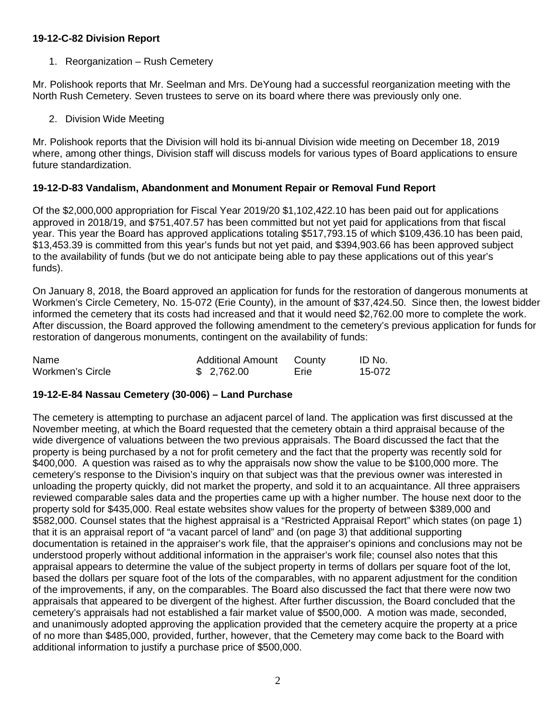## **19-12-C-82 Division Report**

## 1. Reorganization – Rush Cemetery

Mr. Polishook reports that Mr. Seelman and Mrs. DeYoung had a successful reorganization meeting with the North Rush Cemetery. Seven trustees to serve on its board where there was previously only one.

2. Division Wide Meeting

Mr. Polishook reports that the Division will hold its bi-annual Division wide meeting on December 18, 2019 where, among other things, Division staff will discuss models for various types of Board applications to ensure future standardization.

# **19-12-D-83 Vandalism, Abandonment and Monument Repair or Removal Fund Report**

Of the \$2,000,000 appropriation for Fiscal Year 2019/20 \$1,102,422.10 has been paid out for applications approved in 2018/19, and \$751,407.57 has been committed but not yet paid for applications from that fiscal year. This year the Board has approved applications totaling \$517,793.15 of which \$109,436.10 has been paid, \$13,453.39 is committed from this year's funds but not yet paid, and \$394,903.66 has been approved subject to the availability of funds (but we do not anticipate being able to pay these applications out of this year's funds).

On January 8, 2018, the Board approved an application for funds for the restoration of dangerous monuments at Workmen's Circle Cemetery, No. 15-072 (Erie County), in the amount of \$37,424.50. Since then, the lowest bidder informed the cemetery that its costs had increased and that it would need \$2,762.00 more to complete the work. After discussion, the Board approved the following amendment to the cemetery's previous application for funds for restoration of dangerous monuments, contingent on the availability of funds:

| Name             | Additional Amount County |      | ID No. |
|------------------|--------------------------|------|--------|
| Workmen's Circle | \$2,762.00               | Erie | 15-072 |

## **19-12-E-84 Nassau Cemetery (30-006) – Land Purchase**

The cemetery is attempting to purchase an adjacent parcel of land. The application was first discussed at the November meeting, at which the Board requested that the cemetery obtain a third appraisal because of the wide divergence of valuations between the two previous appraisals. The Board discussed the fact that the property is being purchased by a not for profit cemetery and the fact that the property was recently sold for \$400,000. A question was raised as to why the appraisals now show the value to be \$100,000 more. The cemetery's response to the Division's inquiry on that subject was that the previous owner was interested in unloading the property quickly, did not market the property, and sold it to an acquaintance. All three appraisers reviewed comparable sales data and the properties came up with a higher number. The house next door to the property sold for \$435,000. Real estate websites show values for the property of between \$389,000 and \$582,000. Counsel states that the highest appraisal is a "Restricted Appraisal Report" which states (on page 1) that it is an appraisal report of "a vacant parcel of land" and (on page 3) that additional supporting documentation is retained in the appraiser's work file, that the appraiser's opinions and conclusions may not be understood properly without additional information in the appraiser's work file; counsel also notes that this appraisal appears to determine the value of the subject property in terms of dollars per square foot of the lot, based the dollars per square foot of the lots of the comparables, with no apparent adjustment for the condition of the improvements, if any, on the comparables. The Board also discussed the fact that there were now two appraisals that appeared to be divergent of the highest. After further discussion, the Board concluded that the cemetery's appraisals had not established a fair market value of \$500,000. A motion was made, seconded, and unanimously adopted approving the application provided that the cemetery acquire the property at a price of no more than \$485,000, provided, further, however, that the Cemetery may come back to the Board with additional information to justify a purchase price of \$500,000.